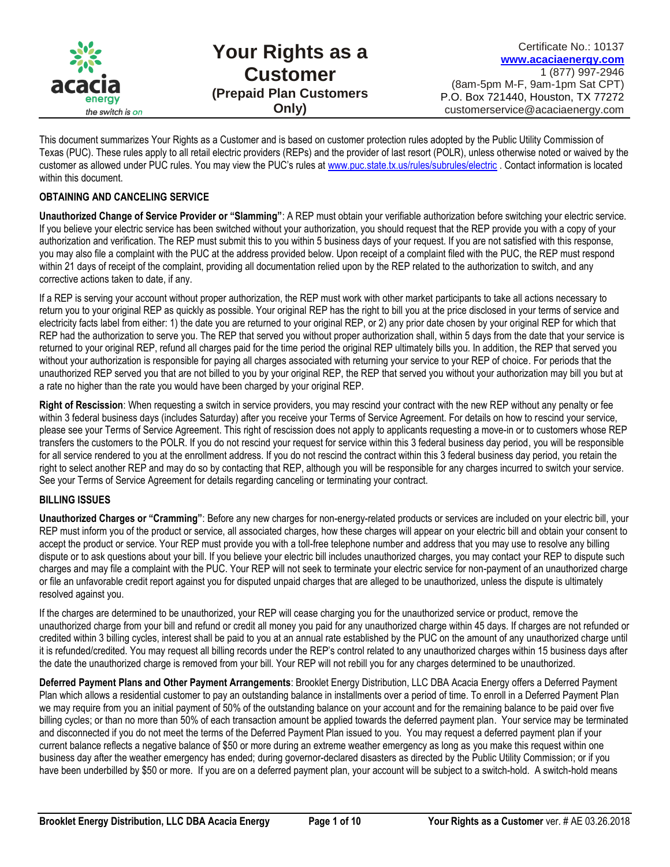

This document summarizes Your Rights as a Customer and is based on customer protection rules adopted by the Public Utility Commission of Texas (PUC). These rules apply to all retail electric providers (REPs) and the provider of last resort (POLR), unless otherwise noted or waived by the customer as allowed under PUC rules. You may view the PUC's rules at [www.puc.state.tx.us/rules/subrules/electric](http://www.puc.state.tx.us/rules/subrules/electric) . Contact information is located within this document.

### **OBTAINING AND CANCELING SERVICE**

**Unauthorized Change of Service Provider or "Slamming"**: A REP must obtain your verifiable authorization before switching your electric service. If you believe your electric service has been switched without your authorization, you should request that the REP provide you with a copy of your authorization and verification. The REP must submit this to you within 5 business days of your request. If you are not satisfied with this response, you may also file a complaint with the PUC at the address provided below. Upon receipt of a complaint filed with the PUC, the REP must respond within 21 days of receipt of the complaint, providing all documentation relied upon by the REP related to the authorization to switch, and any corrective actions taken to date, if any.

If a REP is serving your account without proper authorization, the REP must work with other market participants to take all actions necessary to return you to your original REP as quickly as possible. Your original REP has the right to bill you at the price disclosed in your terms of service and electricity facts label from either: 1) the date you are returned to your original REP, or 2) any prior date chosen by your original REP for which that REP had the authorization to serve you. The REP that served you without proper authorization shall, within 5 days from the date that your service is returned to your original REP, refund all charges paid for the time period the original REP ultimately bills you. In addition, the REP that served you without your authorization is responsible for paying all charges associated with returning your service to your REP of choice. For periods that the unauthorized REP served you that are not billed to you by your original REP, the REP that served you without your authorization may bill you but at a rate no higher than the rate you would have been charged by your original REP.

**Right of Rescission**: When requesting a switch in service providers, you may rescind your contract with the new REP without any penalty or fee within 3 federal business days (includes Saturday) after you receive your Terms of Service Agreement. For details on how to rescind your service, please see your Terms of Service Agreement. This right of rescission does not apply to applicants requesting a move-in or to customers whose REP transfers the customers to the POLR. If you do not rescind your request for service within this 3 federal business day period, you will be responsible for all service rendered to you at the enrollment address. If you do not rescind the contract within this 3 federal business day period, you retain the right to select another REP and may do so by contacting that REP, although you will be responsible for any charges incurred to switch your service. See your Terms of Service Agreement for details regarding canceling or terminating your contract.

# **BILLING ISSUES**

**Unauthorized Charges or "Cramming"**: Before any new charges for non-energy-related products or services are included on your electric bill, your REP must inform you of the product or service, all associated charges, how these charges will appear on your electric bill and obtain your consent to accept the product or service. Your REP must provide you with a toll-free telephone number and address that you may use to resolve any billing dispute or to ask questions about your bill. If you believe your electric bill includes unauthorized charges, you may contact your REP to dispute such charges and may file a complaint with the PUC. Your REP will not seek to terminate your electric service for non-payment of an unauthorized charge or file an unfavorable credit report against you for disputed unpaid charges that are alleged to be unauthorized, unless the dispute is ultimately resolved against you.

If the charges are determined to be unauthorized, your REP will cease charging you for the unauthorized service or product, remove the unauthorized charge from your bill and refund or credit all money you paid for any unauthorized charge within 45 days. If charges are not refunded or credited within 3 billing cycles, interest shall be paid to you at an annual rate established by the PUC on the amount of any unauthorized charge until it is refunded/credited. You may request all billing records under the REP's control related to any unauthorized charges within 15 business days after the date the unauthorized charge is removed from your bill. Your REP will not rebill you for any charges determined to be unauthorized.

**Deferred Payment Plans and Other Payment Arrangements**: Brooklet Energy Distribution, LLC DBA Acacia Energy offers a Deferred Payment Plan which allows a residential customer to pay an outstanding balance in installments over a period of time. To enroll in a Deferred Payment Plan we may require from you an initial payment of 50% of the outstanding balance on your account and for the remaining balance to be paid over five billing cycles; or than no more than 50% of each transaction amount be applied towards the deferred payment plan. Your service may be terminated and disconnected if you do not meet the terms of the Deferred Payment Plan issued to you. You may request a deferred payment plan if your current balance reflects a negative balance of \$50 or more during an extreme weather emergency as long as you make this request within one business day after the weather emergency has ended; during governor-declared disasters as directed by the Public Utility Commission; or if you have been underbilled by \$50 or more. If you are on a deferred payment plan, your account will be subject to a switch-hold. A switch-hold means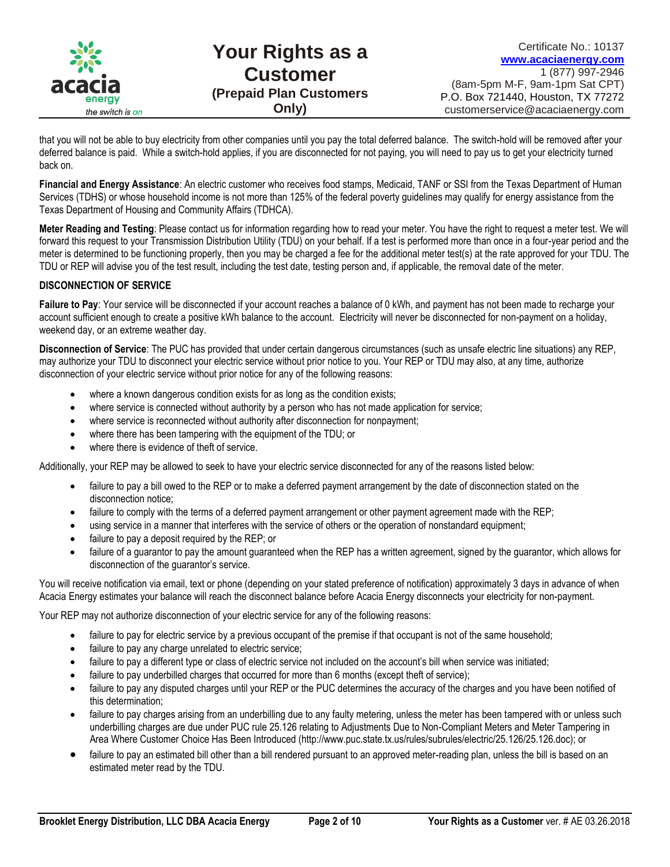

that you will not be able to buy electricity from other companies until you pay the total deferred balance. The switch-hold will be removed after your deferred balance is paid. While a switch-hold applies, if you are disconnected for not paying, you will need to pay us to get your electricity turned back on.

**Financial and Energy Assistance**: An electric customer who receives food stamps, Medicaid, TANF or SSI from the Texas Department of Human Services (TDHS) or whose household income is not more than 125% of the federal poverty guidelines may qualify for energy assistance from the Texas Department of Housing and Community Affairs (TDHCA).

**Meter Reading and Testing**: Please contact us for information regarding how to read your meter. You have the right to request a meter test. We will forward this request to your Transmission Distribution Utility (TDU) on your behalf. If a test is performed more than once in a four-year period and the meter is determined to be functioning properly, then you may be charged a fee for the additional meter test(s) at the rate approved for your TDU. The TDU or REP will advise you of the test result, including the test date, testing person and, if applicable, the removal date of the meter.

# **DISCONNECTION OF SERVICE**

**Failure to Pay**: Your service will be disconnected if your account reaches a balance of 0 kWh, and payment has not been made to recharge your account sufficient enough to create a positive kWh balance to the account. Electricity will never be disconnected for non-payment on a holiday, weekend day, or an extreme weather day.

**Disconnection of Service**: The PUC has provided that under certain dangerous circumstances (such as unsafe electric line situations) any REP, may authorize your TDU to disconnect your electric service without prior notice to you. Your REP or TDU may also, at any time, authorize disconnection of your electric service without prior notice for any of the following reasons:

- where a known dangerous condition exists for as long as the condition exists;
- where service is connected without authority by a person who has not made application for service;
- where service is reconnected without authority after disconnection for nonpayment;
- where there has been tampering with the equipment of the TDU; or
- where there is evidence of theft of service.

Additionally, your REP may be allowed to seek to have your electric service disconnected for any of the reasons listed below:

- failure to pay a bill owed to the REP or to make a deferred payment arrangement by the date of disconnection stated on the disconnection notice;
- failure to comply with the terms of a deferred payment arrangement or other payment agreement made with the REP;
- using service in a manner that interferes with the service of others or the operation of nonstandard equipment;
- failure to pay a deposit required by the REP; or
- failure of a guarantor to pay the amount guaranteed when the REP has a written agreement, signed by the guarantor, which allows for disconnection of the guarantor's service.

You will receive notification via email, text or phone (depending on your stated preference of notification) approximately 3 days in advance of when Acacia Energy estimates your balance will reach the disconnect balance before Acacia Energy disconnects your electricity for non-payment.

Your REP may not authorize disconnection of your electric service for any of the following reasons:

- failure to pay for electric service by a previous occupant of the premise if that occupant is not of the same household;
- failure to pay any charge unrelated to electric service;
- failure to pay a different type or class of electric service not included on the account's bill when service was initiated;
- failure to pay underbilled charges that occurred for more than 6 months (except theft of service);
- failure to pay any disputed charges until your REP or the PUC determines the accuracy of the charges and you have been notified of this determination;
- failure to pay charges arising from an underbilling due to any faulty metering, unless the meter has been tampered with or unless such underbilling charges are due under PUC rule 25.126 relating to Adjustments Due to Non-Compliant Meters and Meter Tampering in Area Where Customer Choice Has Been Introduced (http://www.puc.state.tx.us/rules/subrules/electric/25.126/25.126.doc); or
- failure to pay an estimated bill other than a bill rendered pursuant to an approved meter-reading plan, unless the bill is based on an estimated meter read by the TDU.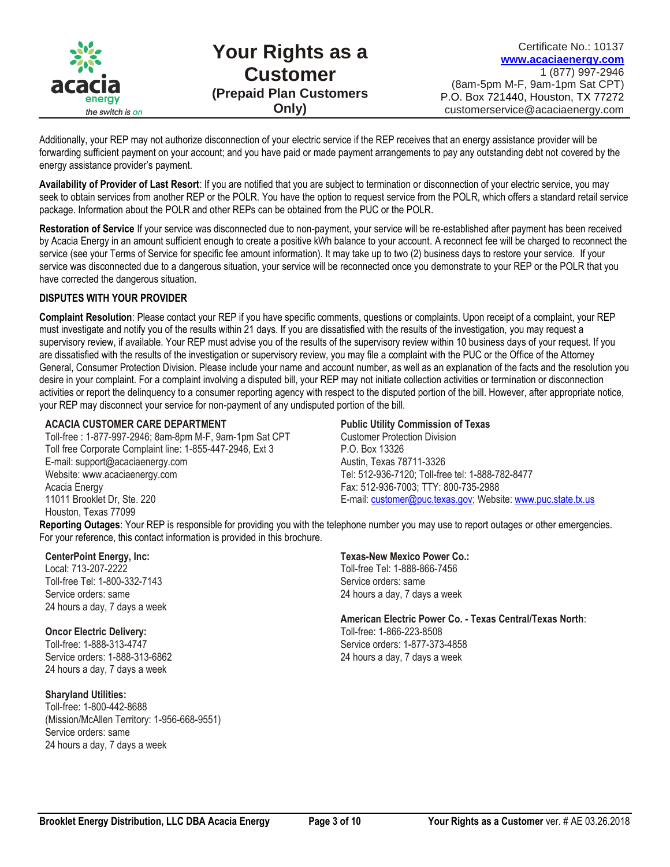

Additionally, your REP may not authorize disconnection of your electric service if the REP receives that an energy assistance provider will be forwarding sufficient payment on your account; and you have paid or made payment arrangements to pay any outstanding debt not covered by the energy assistance provider's payment.

**Availability of Provider of Last Resort**: If you are notified that you are subject to termination or disconnection of your electric service, you may seek to obtain services from another REP or the POLR. You have the option to request service from the POLR, which offers a standard retail service package. Information about the POLR and other REPs can be obtained from the PUC or the POLR.

**Restoration of Service** If your service was disconnected due to non-payment, your service will be re-established after payment has been received by Acacia Energy in an amount sufficient enough to create a positive kWh balance to your account. A reconnect fee will be charged to reconnect the service (see your Terms of Service for specific fee amount information). It may take up to two (2) business days to restore your service. If your service was disconnected due to a dangerous situation, your service will be reconnected once you demonstrate to your REP or the POLR that you have corrected the dangerous situation.

#### **DISPUTES WITH YOUR PROVIDER**

**Complaint Resolution**: Please contact your REP if you have specific comments, questions or complaints. Upon receipt of a complaint, your REP must investigate and notify you of the results within 21 days. If you are dissatisfied with the results of the investigation, you may request a supervisory review, if available. Your REP must advise you of the results of the supervisory review within 10 business days of your request. If you are dissatisfied with the results of the investigation or supervisory review, you may file a complaint with the PUC or the Office of the Attorney General, Consumer Protection Division. Please include your name and account number, as well as an explanation of the facts and the resolution you desire in your complaint. For a complaint involving a disputed bill, your REP may not initiate collection activities or termination or disconnection activities or report the delinquency to a consumer reporting agency with respect to the disputed portion of the bill. However, after appropriate notice, your REP may disconnect your service for non-payment of any undisputed portion of the bill.

#### **ACACIA CUSTOMER CARE DEPARTMENT**

Toll-free : 1-877-997-2946; 8am-8pm M-F, 9am-1pm Sat CPT Toll free Corporate Complaint line: 1-855-447-2946, Ext 3 E-mail: support@acaciaenergy.com Website: www.acaciaenergy.com Acacia Energy 11011 Brooklet Dr, Ste. 220 Houston, Texas 77099

#### **Public Utility Commission of Texas**

Customer Protection Division P.O. Box 13326 Austin, Texas 78711-3326 Tel: 512-936-7120; Toll-free tel: 1-888-782-8477 Fax: 512-936-7003; TTY: 800-735-2988 E-mail[: customer@puc.texas.gov;](mailto:customer@puc.texas.gov) Website[: www.puc.state.tx.us](http://www.puc.state.tx.us/)

**Reporting Outages**: Your REP is responsible for providing you with the telephone number you may use to report outages or other emergencies. For your reference, this contact information is provided in this brochure.

#### **CenterPoint Energy, Inc:**

Local: 713-207-2222 Toll-free Tel: 1-800-332-7143 Service orders: same 24 hours a day, 7 days a week

#### **Oncor Electric Delivery:**

Toll-free: 1-888-313-4747 Service orders: 1-888-313-6862 24 hours a day, 7 days a week

#### **Sharyland Utilities:**

Toll-free: 1-800-442-8688 (Mission/McAllen Territory: 1-956-668-9551) Service orders: same 24 hours a day, 7 days a week

#### **Texas-New Mexico Power Co.:**

Toll-free Tel: 1-888-866-7456 Service orders: same 24 hours a day, 7 days a week

**American Electric Power Co. - Texas Central/Texas North**: Toll-free: 1-866-223-8508 Service orders: 1-877-373-4858 24 hours a day, 7 days a week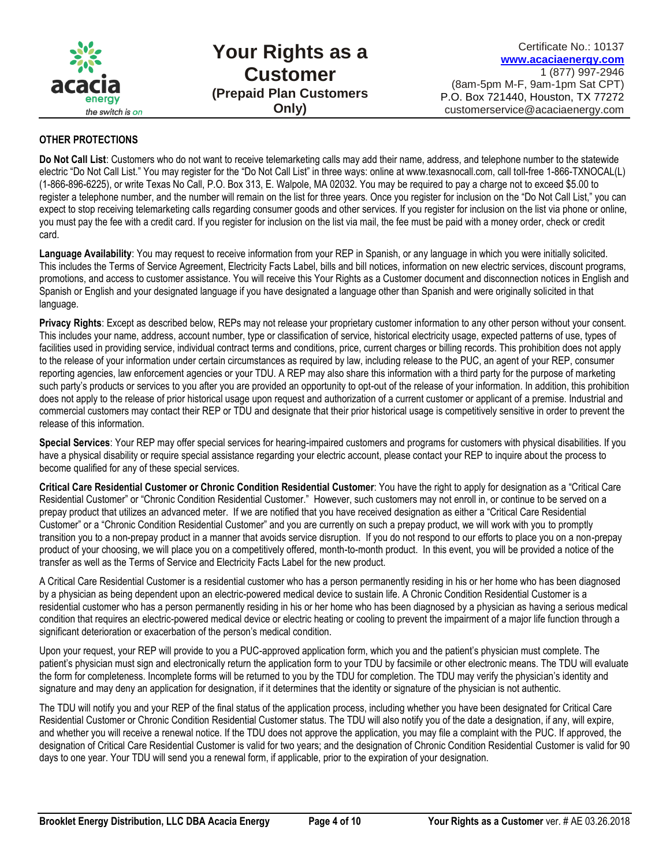

**Your Rights as a Customer (Prepaid Plan Customers Only)**

Certificate No.: 10137 **[www.acaciaenergy.com](http://www.acaciaenergy.com/)** 1 (877) 997-2946 (8am-5pm M-F, 9am-1pm Sat CPT) P.O. Box 721440, Houston, TX 77272 customerservice@acaciaenergy.com

#### **OTHER PROTECTIONS**

**Do Not Call List**: Customers who do not want to receive telemarketing calls may add their name, address, and telephone number to the statewide electric "Do Not Call List." You may register for the "Do Not Call List" in three ways: online at www.texasnocall.com, call toll-free 1-866-TXNOCAL(L) (1-866-896-6225), or write Texas No Call, P.O. Box 313, E. Walpole, MA 02032. You may be required to pay a charge not to exceed \$5.00 to register a telephone number, and the number will remain on the list for three years. Once you register for inclusion on the "Do Not Call List," you can expect to stop receiving telemarketing calls regarding consumer goods and other services. If you register for inclusion on the list via phone or online, you must pay the fee with a credit card. If you register for inclusion on the list via mail, the fee must be paid with a money order, check or credit card.

**Language Availability**: You may request to receive information from your REP in Spanish, or any language in which you were initially solicited. This includes the Terms of Service Agreement, Electricity Facts Label, bills and bill notices, information on new electric services, discount programs, promotions, and access to customer assistance. You will receive this Your Rights as a Customer document and disconnection notices in English and Spanish or English and your designated language if you have designated a language other than Spanish and were originally solicited in that language.

**Privacy Rights**: Except as described below, REPs may not release your proprietary customer information to any other person without your consent. This includes your name, address, account number, type or classification of service, historical electricity usage, expected patterns of use, types of facilities used in providing service, individual contract terms and conditions, price, current charges or billing records. This prohibition does not apply to the release of your information under certain circumstances as required by law, including release to the PUC, an agent of your REP, consumer reporting agencies, law enforcement agencies or your TDU. A REP may also share this information with a third party for the purpose of marketing such party's products or services to you after you are provided an opportunity to opt-out of the release of your information. In addition, this prohibition does not apply to the release of prior historical usage upon request and authorization of a current customer or applicant of a premise. Industrial and commercial customers may contact their REP or TDU and designate that their prior historical usage is competitively sensitive in order to prevent the release of this information.

**Special Services**: Your REP may offer special services for hearing-impaired customers and programs for customers with physical disabilities. If you have a physical disability or require special assistance regarding your electric account, please contact your REP to inquire about the process to become qualified for any of these special services.

**Critical Care Residential Customer or Chronic Condition Residential Customer**: You have the right to apply for designation as a "Critical Care Residential Customer" or "Chronic Condition Residential Customer." However, such customers may not enroll in, or continue to be served on a prepay product that utilizes an advanced meter. If we are notified that you have received designation as either a "Critical Care Residential Customer" or a "Chronic Condition Residential Customer" and you are currently on such a prepay product, we will work with you to promptly transition you to a non-prepay product in a manner that avoids service disruption. If you do not respond to our efforts to place you on a non-prepay product of your choosing, we will place you on a competitively offered, month-to-month product. In this event, you will be provided a notice of the transfer as well as the Terms of Service and Electricity Facts Label for the new product.

A Critical Care Residential Customer is a residential customer who has a person permanently residing in his or her home who has been diagnosed by a physician as being dependent upon an electric-powered medical device to sustain life. A Chronic Condition Residential Customer is a residential customer who has a person permanently residing in his or her home who has been diagnosed by a physician as having a serious medical condition that requires an electric-powered medical device or electric heating or cooling to prevent the impairment of a major life function through a significant deterioration or exacerbation of the person's medical condition.

Upon your request, your REP will provide to you a PUC-approved application form, which you and the patient's physician must complete. The patient's physician must sign and electronically return the application form to your TDU by facsimile or other electronic means. The TDU will evaluate the form for completeness. Incomplete forms will be returned to you by the TDU for completion. The TDU may verify the physician's identity and signature and may deny an application for designation, if it determines that the identity or signature of the physician is not authentic.

The TDU will notify you and your REP of the final status of the application process, including whether you have been designated for Critical Care Residential Customer or Chronic Condition Residential Customer status. The TDU will also notify you of the date a designation, if any, will expire, and whether you will receive a renewal notice. If the TDU does not approve the application, you may file a complaint with the PUC. If approved, the designation of Critical Care Residential Customer is valid for two years; and the designation of Chronic Condition Residential Customer is valid for 90 days to one year. Your TDU will send you a renewal form, if applicable, prior to the expiration of your designation.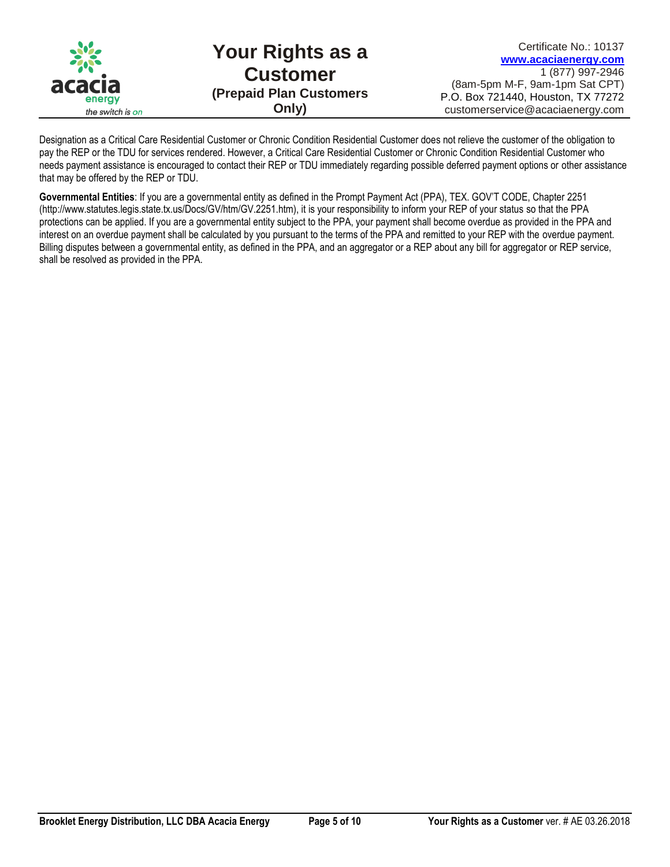

# **Your Rights as a Customer (Prepaid Plan Customers Only)**

Designation as a Critical Care Residential Customer or Chronic Condition Residential Customer does not relieve the customer of the obligation to pay the REP or the TDU for services rendered. However, a Critical Care Residential Customer or Chronic Condition Residential Customer who needs payment assistance is encouraged to contact their REP or TDU immediately regarding possible deferred payment options or other assistance that may be offered by the REP or TDU.

**Governmental Entities**: If you are a governmental entity as defined in the Prompt Payment Act (PPA), TEX. GOV'T CODE, Chapter 2251 (http://www.statutes.legis.state.tx.us/Docs/GV/htm/GV.2251.htm), it is your responsibility to inform your REP of your status so that the PPA protections can be applied. If you are a governmental entity subject to the PPA, your payment shall become overdue as provided in the PPA and interest on an overdue payment shall be calculated by you pursuant to the terms of the PPA and remitted to your REP with the overdue payment. Billing disputes between a governmental entity, as defined in the PPA, and an aggregator or a REP about any bill for aggregator or REP service, shall be resolved as provided in the PPA.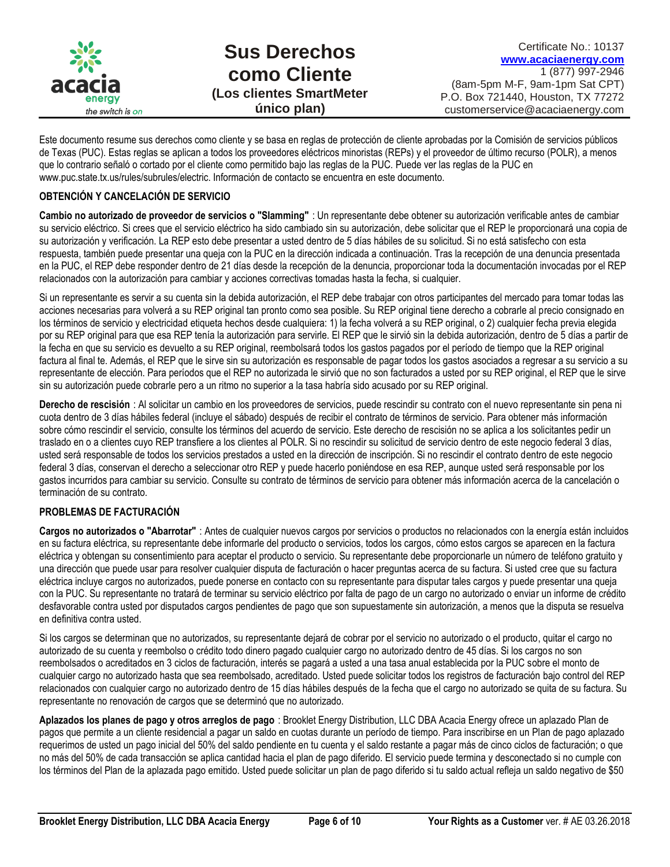

Este documento resume sus derechos como cliente y se basa en reglas de protección de cliente aprobadas por la Comisión de servicios públicos de Texas (PUC). Estas reglas se aplican a todos los proveedores eléctricos minoristas (REPs) y el proveedor de último recurso (POLR), a menos que lo contrario señaló o cortado por el cliente como permitido bajo las reglas de la PUC. Puede ver las reglas de la PUC en www.puc.state.tx.us/rules/subrules/electric. Información de contacto se encuentra en este documento.

# **OBTENCIÓN Y CANCELACIÓN DE SERVICIO**

**Cambio no autorizado de proveedor de servicios o "Slamming"** : Un representante debe obtener su autorización verificable antes de cambiar su servicio eléctrico. Si crees que el servicio eléctrico ha sido cambiado sin su autorización, debe solicitar que el REP le proporcionará una copia de su autorización y verificación. La REP esto debe presentar a usted dentro de 5 días hábiles de su solicitud. Si no está satisfecho con esta respuesta, también puede presentar una queja con la PUC en la dirección indicada a continuación. Tras la recepción de una denuncia presentada en la PUC, el REP debe responder dentro de 21 días desde la recepción de la denuncia, proporcionar toda la documentación invocadas por el REP relacionados con la autorización para cambiar y acciones correctivas tomadas hasta la fecha, si cualquier.

Si un representante es servir a su cuenta sin la debida autorización, el REP debe trabajar con otros participantes del mercado para tomar todas las acciones necesarias para volverá a su REP original tan pronto como sea posible. Su REP original tiene derecho a cobrarle al precio consignado en los términos de servicio y electricidad etiqueta hechos desde cualquiera: 1) la fecha volverá a su REP original, o 2) cualquier fecha previa elegida por su REP original para que esa REP tenía la autorización para servirle. El REP que le sirvió sin la debida autorización, dentro de 5 días a partir de la fecha en que su servicio es devuelto a su REP original, reembolsará todos los gastos pagados por el período de tiempo que la REP original factura al final te. Además, el REP que le sirve sin su autorización es responsable de pagar todos los gastos asociados a regresar a su servicio a su representante de elección. Para períodos que el REP no autorizada le sirvió que no son facturados a usted por su REP original, el REP que le sirve sin su autorización puede cobrarle pero a un ritmo no superior a la tasa habría sido acusado por su REP original.

**Derecho de rescisión** : Al solicitar un cambio en los proveedores de servicios, puede rescindir su contrato con el nuevo representante sin pena ni cuota dentro de 3 días hábiles federal (incluye el sábado) después de recibir el contrato de términos de servicio. Para obtener más información sobre cómo rescindir el servicio, consulte los términos del acuerdo de servicio. Este derecho de rescisión no se aplica a los solicitantes pedir un traslado en o a clientes cuyo REP transfiere a los clientes al POLR. Si no rescindir su solicitud de servicio dentro de este negocio federal 3 días, usted será responsable de todos los servicios prestados a usted en la dirección de inscripción. Si no rescindir el contrato dentro de este negocio federal 3 días, conservan el derecho a seleccionar otro REP y puede hacerlo poniéndose en esa REP, aunque usted será responsable por los gastos incurridos para cambiar su servicio. Consulte su contrato de términos de servicio para obtener más información acerca de la cancelación o terminación de su contrato.

# **PROBLEMAS DE FACTURACIÓN**

**Cargos no autorizados o "Abarrotar"** : Antes de cualquier nuevos cargos por servicios o productos no relacionados con la energía están incluidos en su factura eléctrica, su representante debe informarle del producto o servicios, todos los cargos, cómo estos cargos se aparecen en la factura eléctrica y obtengan su consentimiento para aceptar el producto o servicio. Su representante debe proporcionarle un número de teléfono gratuito y una dirección que puede usar para resolver cualquier disputa de facturación o hacer preguntas acerca de su factura. Si usted cree que su factura eléctrica incluye cargos no autorizados, puede ponerse en contacto con su representante para disputar tales cargos y puede presentar una queja con la PUC. Su representante no tratará de terminar su servicio eléctrico por falta de pago de un cargo no autorizado o enviar un informe de crédito desfavorable contra usted por disputados cargos pendientes de pago que son supuestamente sin autorización, a menos que la disputa se resuelva en definitiva contra usted.

Si los cargos se determinan que no autorizados, su representante dejará de cobrar por el servicio no autorizado o el producto, quitar el cargo no autorizado de su cuenta y reembolso o crédito todo dinero pagado cualquier cargo no autorizado dentro de 45 días. Si los cargos no son reembolsados o acreditados en 3 ciclos de facturación, interés se pagará a usted a una tasa anual establecida por la PUC sobre el monto de cualquier cargo no autorizado hasta que sea reembolsado, acreditado. Usted puede solicitar todos los registros de facturación bajo control del REP relacionados con cualquier cargo no autorizado dentro de 15 días hábiles después de la fecha que el cargo no autorizado se quita de su factura. Su representante no renovación de cargos que se determinó que no autorizado.

**Aplazados los planes de pago y otros arreglos de pago** : Brooklet Energy Distribution, LLC DBA Acacia Energy ofrece un aplazado Plan de pagos que permite a un cliente residencial a pagar un saldo en cuotas durante un período de tiempo. Para inscribirse en un Plan de pago aplazado requerimos de usted un pago inicial del 50% del saldo pendiente en tu cuenta y el saldo restante a pagar más de cinco ciclos de facturación; o que no más del 50% de cada transacción se aplica cantidad hacia el plan de pago diferido. El servicio puede termina y desconectado si no cumple con los términos del Plan de la aplazada pago emitido. Usted puede solicitar un plan de pago diferido si tu saldo actual refleja un saldo negativo de \$50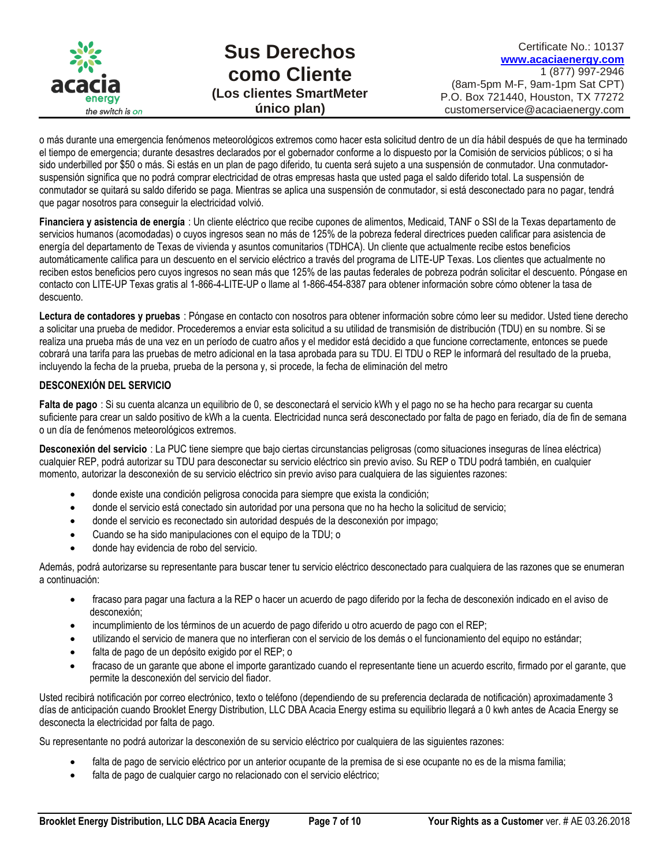

o más durante una emergencia fenómenos meteorológicos extremos como hacer esta solicitud dentro de un día hábil después de que ha terminado el tiempo de emergencia; durante desastres declarados por el gobernador conforme a lo dispuesto por la Comisión de servicios públicos; o si ha sido underbilled por \$50 o más. Si estás en un plan de pago diferido, tu cuenta será sujeto a una suspensión de conmutador. Una conmutadorsuspensión significa que no podrá comprar electricidad de otras empresas hasta que usted paga el saldo diferido total. La suspensión de conmutador se quitará su saldo diferido se paga. Mientras se aplica una suspensión de conmutador, si está desconectado para no pagar, tendrá que pagar nosotros para conseguir la electricidad volvió.

**Financiera y asistencia de energía** : Un cliente eléctrico que recibe cupones de alimentos, Medicaid, TANF o SSI de la Texas departamento de servicios humanos (acomodadas) o cuyos ingresos sean no más de 125% de la pobreza federal directrices pueden calificar para asistencia de energía del departamento de Texas de vivienda y asuntos comunitarios (TDHCA). Un cliente que actualmente recibe estos beneficios automáticamente califica para un descuento en el servicio eléctrico a través del programa de LITE-UP Texas. Los clientes que actualmente no reciben estos beneficios pero cuyos ingresos no sean más que 125% de las pautas federales de pobreza podrán solicitar el descuento. Póngase en contacto con LITE-UP Texas gratis al 1-866-4-LITE-UP o llame al 1-866-454-8387 para obtener información sobre cómo obtener la tasa de descuento.

**Lectura de contadores y pruebas** : Póngase en contacto con nosotros para obtener información sobre cómo leer su medidor. Usted tiene derecho a solicitar una prueba de medidor. Procederemos a enviar esta solicitud a su utilidad de transmisión de distribución (TDU) en su nombre. Si se realiza una prueba más de una vez en un período de cuatro años y el medidor está decidido a que funcione correctamente, entonces se puede cobrará una tarifa para las pruebas de metro adicional en la tasa aprobada para su TDU. El TDU o REP le informará del resultado de la prueba, incluyendo la fecha de la prueba, prueba de la persona y, si procede, la fecha de eliminación del metro

# **DESCONEXIÓN DEL SERVICIO**

**Falta de pago** : Si su cuenta alcanza un equilibrio de 0, se desconectará el servicio kWh y el pago no se ha hecho para recargar su cuenta suficiente para crear un saldo positivo de kWh a la cuenta. Electricidad nunca será desconectado por falta de pago en feriado, día de fin de semana o un día de fenómenos meteorológicos extremos.

**Desconexión del servicio** : La PUC tiene siempre que bajo ciertas circunstancias peligrosas (como situaciones inseguras de línea eléctrica) cualquier REP, podrá autorizar su TDU para desconectar su servicio eléctrico sin previo aviso. Su REP o TDU podrá también, en cualquier momento, autorizar la desconexión de su servicio eléctrico sin previo aviso para cualquiera de las siguientes razones:

- donde existe una condición peligrosa conocida para siempre que exista la condición;
- donde el servicio está conectado sin autoridad por una persona que no ha hecho la solicitud de servicio;
- donde el servicio es reconectado sin autoridad después de la desconexión por impago;
- Cuando se ha sido manipulaciones con el equipo de la TDU; o
- donde hay evidencia de robo del servicio.

Además, podrá autorizarse su representante para buscar tener tu servicio eléctrico desconectado para cualquiera de las razones que se enumeran a continuación:

- fracaso para pagar una factura a la REP o hacer un acuerdo de pago diferido por la fecha de desconexión indicado en el aviso de desconexión;
- incumplimiento de los términos de un acuerdo de pago diferido u otro acuerdo de pago con el REP;
- utilizando el servicio de manera que no interfieran con el servicio de los demás o el funcionamiento del equipo no estándar;
- falta de pago de un depósito exigido por el REP; o
- fracaso de un garante que abone el importe garantizado cuando el representante tiene un acuerdo escrito, firmado por el garante, que permite la desconexión del servicio del fiador.

Usted recibirá notificación por correo electrónico, texto o teléfono (dependiendo de su preferencia declarada de notificación) aproximadamente 3 días de anticipación cuando Brooklet Energy Distribution, LLC DBA Acacia Energy estima su equilibrio llegará a 0 kwh antes de Acacia Energy se desconecta la electricidad por falta de pago.

Su representante no podrá autorizar la desconexión de su servicio eléctrico por cualquiera de las siguientes razones:

- falta de pago de servicio eléctrico por un anterior ocupante de la premisa de si ese ocupante no es de la misma familia;
- falta de pago de cualquier cargo no relacionado con el servicio eléctrico;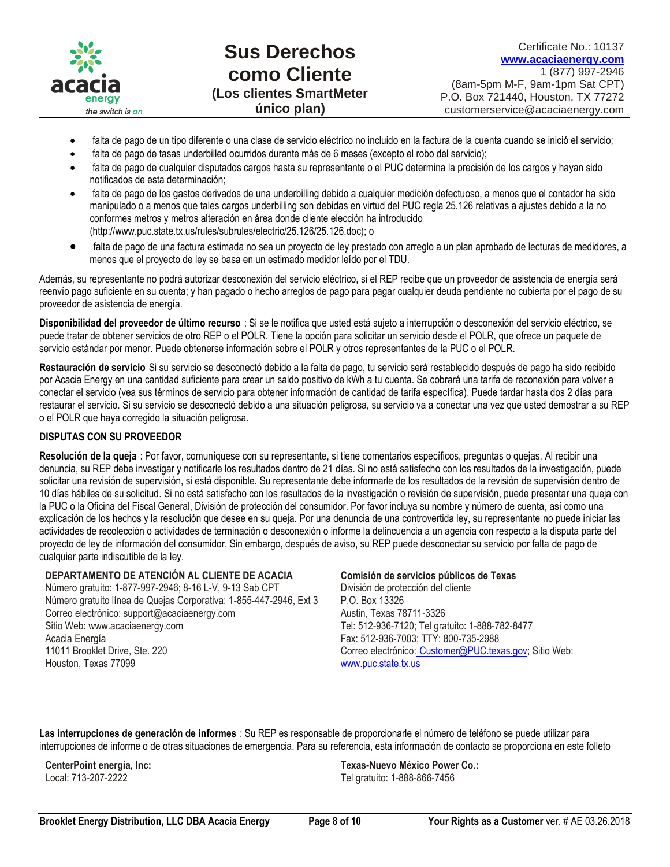

- falta de pago de un tipo diferente o una clase de servicio eléctrico no incluido en la factura de la cuenta cuando se inició el servicio;
- falta de pago de tasas underbilled ocurridos durante más de 6 meses (excepto el robo del servicio);
- falta de pago de cualquier disputados cargos hasta su representante o el PUC determina la precisión de los cargos y hayan sido notificados de esta determinación;
- falta de pago de los gastos derivados de una underbilling debido a cualquier medición defectuoso, a menos que el contador ha sido manipulado o a menos que tales cargos underbilling son debidas en virtud del PUC regla 25.126 relativas a ajustes debido a la no conformes metros y metros alteración en área donde cliente elección ha introducido (http://www.puc.state.tx.us/rules/subrules/electric/25.126/25.126.doc); o
- falta de pago de una factura estimada no sea un proyecto de ley prestado con arreglo a un plan aprobado de lecturas de medidores, a menos que el proyecto de ley se basa en un estimado medidor leído por el TDU.

Además, su representante no podrá autorizar desconexión del servicio eléctrico, si el REP recibe que un proveedor de asistencia de energía será reenvío pago suficiente en su cuenta; y han pagado o hecho arreglos de pago para pagar cualquier deuda pendiente no cubierta por el pago de su proveedor de asistencia de energía.

**Disponibilidad del proveedor de último recurso** : Si se le notifica que usted está sujeto a interrupción o desconexión del servicio eléctrico, se puede tratar de obtener servicios de otro REP o el POLR. Tiene la opción para solicitar un servicio desde el POLR, que ofrece un paquete de servicio estándar por menor. Puede obtenerse información sobre el POLR y otros representantes de la PUC o el POLR.

**Restauración de servicio** Si su servicio se desconectó debido a la falta de pago, tu servicio será restablecido después de pago ha sido recibido por Acacia Energy en una cantidad suficiente para crear un saldo positivo de kWh a tu cuenta. Se cobrará una tarifa de reconexión para volver a conectar el servicio (vea sus términos de servicio para obtener información de cantidad de tarifa específica). Puede tardar hasta dos 2 días para restaurar el servicio. Si su servicio se desconectó debido a una situación peligrosa, su servicio va a conectar una vez que usted demostrar a su REP o el POLR que haya corregido la situación peligrosa.

# **DISPUTAS CON SU PROVEEDOR**

**Resolución de la queja** : Por favor, comuníquese con su representante, si tiene comentarios específicos, preguntas o quejas. Al recibir una denuncia, su REP debe investigar y notificarle los resultados dentro de 21 días. Si no está satisfecho con los resultados de la investigación, puede solicitar una revisión de supervisión, si está disponible. Su representante debe informarle de los resultados de la revisión de supervisión dentro de 10 días hábiles de su solicitud. Si no está satisfecho con los resultados de la investigación o revisión de supervisión, puede presentar una queja con la PUC o la Oficina del Fiscal General, División de protección del consumidor. Por favor incluya su nombre y número de cuenta, así como una explicación de los hechos y la resolución que desee en su queja. Por una denuncia de una controvertida ley, su representante no puede iniciar las actividades de recolección o actividades de terminación o desconexión o informe la delincuencia a un agencia con respecto a la disputa parte del proyecto de ley de información del consumidor. Sin embargo, después de aviso, su REP puede desconectar su servicio por falta de pago de cualquier parte indiscutible de la ley.

#### **DEPARTAMENTO DE ATENCIÓN AL CLIENTE DE ACACIA**

Número gratuito: 1-877-997-2946; 8-16 L-V, 9-13 Sab CPT Número gratuito línea de Quejas Corporativa: 1-855-447-2946, Ext 3 Correo electrónico: support@acaciaenergy.com Sitio Web: www.acaciaenergy.com Acacia Energía 11011 Brooklet Drive, Ste. 220 Houston, Texas 77099

# **Comisión de servicios públicos de Texas**

División de protección del cliente P.O. Box 13326 Austin, Texas 78711-3326 Tel: 512-936-7120; Tel gratuito: 1-888-782-8477 Fax: 512-936-7003; TTY: 800-735-2988 Correo electrónico: [Customer@PUC.texas.gov;](mailto:%20Customer@PUC.texas.gov) Sitio Web: [www.puc.state.tx.us](http://www.microsofttranslator.com/bv.aspx?from=en&to=es&a=http%3A%2F%2Fwww.puc.state.tx.us%2F)

**Las interrupciones de generación de informes** : Su REP es responsable de proporcionarle el número de teléfono se puede utilizar para interrupciones de informe o de otras situaciones de emergencia. Para su referencia, esta información de contacto se proporciona en este folleto

**CenterPoint energía, Inc:** Local: 713-207-2222

**Texas-Nuevo México Power Co.:** Tel gratuito: 1-888-866-7456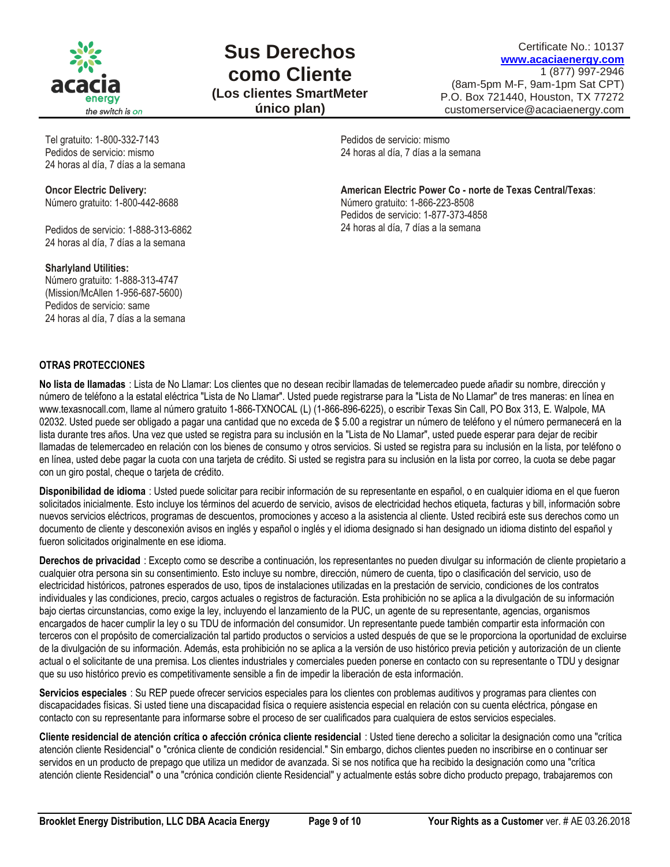

# **Sus Derechos como Cliente (Los clientes SmartMeter**

**único plan)**

Certificate No.: 10137 **[www.acaciaenergy.com](http://www.acaciaenergy.com/)** 1 (877) 997-2946 (8am-5pm M-F, 9am-1pm Sat CPT) P.O. Box 721440, Houston, TX 77272 customerservice@acaciaenergy.com

Tel gratuito: 1-800-332-7143 Pedidos de servicio: mismo 24 horas al día, 7 días a la semana

**Oncor Electric Delivery:** Número gratuito: 1-800-442-8688

Pedidos de servicio: 1-888-313-6862 24 horas al día, 7 días a la semana

**Sharlyland Utilities:**

Número gratuito: 1-888-313-4747 (Mission/McAllen 1-956-687-5600) Pedidos de servicio: same 24 horas al día, 7 días a la semana Pedidos de servicio: mismo 24 horas al día, 7 días a la semana

**American Electric Power Co - norte de Texas Central/Texas**: Número gratuito: 1-866-223-8508 Pedidos de servicio: 1-877-373-4858 24 horas al día, 7 días a la semana

# **OTRAS PROTECCIONES**

**No lista de llamadas** : Lista de No Llamar: Los clientes que no desean recibir llamadas de telemercadeo puede añadir su nombre, dirección y número de teléfono a la estatal eléctrica "Lista de No Llamar". Usted puede registrarse para la "Lista de No Llamar" de tres maneras: en línea en www.texasnocall.com, llame al número gratuito 1-866-TXNOCAL (L) (1-866-896-6225), o escribir Texas Sin Call, PO Box 313, E. Walpole, MA 02032. Usted puede ser obligado a pagar una cantidad que no exceda de \$ 5.00 a registrar un número de teléfono y el número permanecerá en la lista durante tres años. Una vez que usted se registra para su inclusión en la "Lista de No Llamar", usted puede esperar para dejar de recibir llamadas de telemercadeo en relación con los bienes de consumo y otros servicios. Si usted se registra para su inclusión en la lista, por teléfono o en línea, usted debe pagar la cuota con una tarjeta de crédito. Si usted se registra para su inclusión en la lista por correo, la cuota se debe pagar con un giro postal, cheque o tarjeta de crédito.

**Disponibilidad de idioma** : Usted puede solicitar para recibir información de su representante en español, o en cualquier idioma en el que fueron solicitados inicialmente. Esto incluye los términos del acuerdo de servicio, avisos de electricidad hechos etiqueta, facturas y bill, información sobre nuevos servicios eléctricos, programas de descuentos, promociones y acceso a la asistencia al cliente. Usted recibirá este sus derechos como un documento de cliente y desconexión avisos en inglés y español o inglés y el idioma designado si han designado un idioma distinto del español y fueron solicitados originalmente en ese idioma.

**Derechos de privacidad** : Excepto como se describe a continuación, los representantes no pueden divulgar su información de cliente propietario a cualquier otra persona sin su consentimiento. Esto incluye su nombre, dirección, número de cuenta, tipo o clasificación del servicio, uso de electricidad históricos, patrones esperados de uso, tipos de instalaciones utilizadas en la prestación de servicio, condiciones de los contratos individuales y las condiciones, precio, cargos actuales o registros de facturación. Esta prohibición no se aplica a la divulgación de su información bajo ciertas circunstancias, como exige la ley, incluyendo el lanzamiento de la PUC, un agente de su representante, agencias, organismos encargados de hacer cumplir la ley o su TDU de información del consumidor. Un representante puede también compartir esta información con terceros con el propósito de comercialización tal partido productos o servicios a usted después de que se le proporciona la oportunidad de excluirse de la divulgación de su información. Además, esta prohibición no se aplica a la versión de uso histórico previa petición y autorización de un cliente actual o el solicitante de una premisa. Los clientes industriales y comerciales pueden ponerse en contacto con su representante o TDU y designar que su uso histórico previo es competitivamente sensible a fin de impedir la liberación de esta información.

**Servicios especiales** : Su REP puede ofrecer servicios especiales para los clientes con problemas auditivos y programas para clientes con discapacidades físicas. Si usted tiene una discapacidad física o requiere asistencia especial en relación con su cuenta eléctrica, póngase en contacto con su representante para informarse sobre el proceso de ser cualificados para cualquiera de estos servicios especiales.

**Cliente residencial de atención crítica o afección crónica cliente residencial** : Usted tiene derecho a solicitar la designación como una "crítica atención cliente Residencial" o "crónica cliente de condición residencial." Sin embargo, dichos clientes pueden no inscribirse en o continuar ser servidos en un producto de prepago que utiliza un medidor de avanzada. Si se nos notifica que ha recibido la designación como una "crítica atención cliente Residencial" o una "crónica condición cliente Residencial" y actualmente estás sobre dicho producto prepago, trabajaremos con